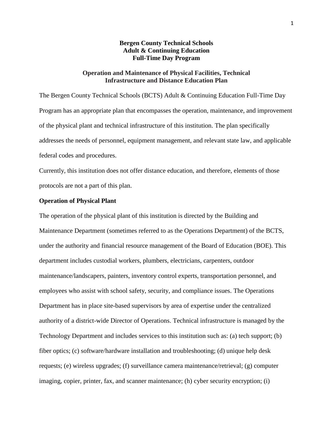## **Bergen County Technical Schools Adult & Continuing Education Full-Time Day Program**

## **Operation and Maintenance of Physical Facilities, Technical Infrastructure and Distance Education Plan**

The Bergen County Technical Schools (BCTS) Adult & Continuing Education Full-Time Day Program has an appropriate plan that encompasses the operation, maintenance, and improvement of the physical plant and technical infrastructure of this institution. The plan specifically addresses the needs of personnel, equipment management, and relevant state law, and applicable federal codes and procedures.

Currently, this institution does not offer distance education, and therefore, elements of those protocols are not a part of this plan.

# **Operation of Physical Plant**

The operation of the physical plant of this institution is directed by the Building and Maintenance Department (sometimes referred to as the Operations Department) of the BCTS, under the authority and financial resource management of the Board of Education (BOE). This department includes custodial workers, plumbers, electricians, carpenters, outdoor maintenance/landscapers, painters, inventory control experts, transportation personnel, and employees who assist with school safety, security, and compliance issues. The Operations Department has in place site-based supervisors by area of expertise under the centralized authority of a district-wide Director of Operations. Technical infrastructure is managed by the Technology Department and includes services to this institution such as: (a) tech support; (b) fiber optics; (c) software/hardware installation and troubleshooting; (d) unique help desk requests; (e) wireless upgrades; (f) surveillance camera maintenance/retrieval; (g) computer imaging, copier, printer, fax, and scanner maintenance; (h) cyber security encryption; (i)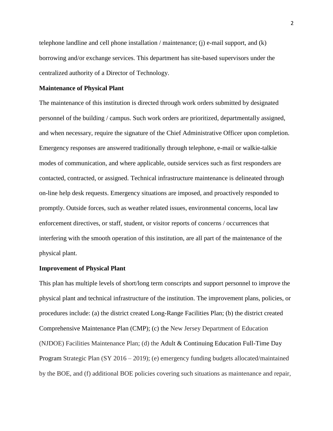telephone landline and cell phone installation / maintenance; (j) e-mail support, and  $(k)$ borrowing and/or exchange services. This department has site-based supervisors under the centralized authority of a Director of Technology.

### **Maintenance of Physical Plant**

The maintenance of this institution is directed through work orders submitted by designated personnel of the building / campus. Such work orders are prioritized, departmentally assigned, and when necessary, require the signature of the Chief Administrative Officer upon completion. Emergency responses are answered traditionally through telephone, e-mail or walkie-talkie modes of communication, and where applicable, outside services such as first responders are contacted, contracted, or assigned. Technical infrastructure maintenance is delineated through on-line help desk requests. Emergency situations are imposed, and proactively responded to promptly. Outside forces, such as weather related issues, environmental concerns, local law enforcement directives, or staff, student, or visitor reports of concerns / occurrences that interfering with the smooth operation of this institution, are all part of the maintenance of the physical plant.

#### **Improvement of Physical Plant**

This plan has multiple levels of short/long term conscripts and support personnel to improve the physical plant and technical infrastructure of the institution. The improvement plans, policies, or procedures include: (a) the district created Long-Range Facilities Plan; (b) the district created Comprehensive Maintenance Plan (CMP); (c) the New Jersey Department of Education (NJDOE) Facilities Maintenance Plan; (d) the Adult  $&$  Continuing Education Full-Time Day Program Strategic Plan (SY 2016 – 2019); (e) emergency funding budgets allocated/maintained by the BOE, and (f) additional BOE policies covering such situations as maintenance and repair,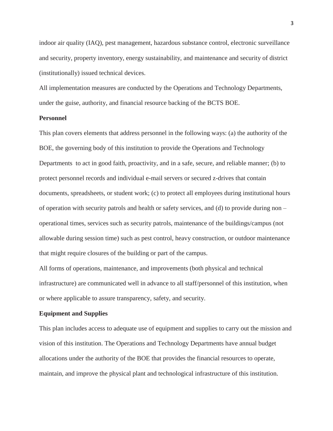indoor air quality (IAQ), pest management, hazardous substance control, electronic surveillance and security, property inventory, energy sustainability, and maintenance and security of district (institutionally) issued technical devices.

All implementation measures are conducted by the Operations and Technology Departments, under the guise, authority, and financial resource backing of the BCTS BOE.

### **Personnel**

This plan covers elements that address personnel in the following ways: (a) the authority of the BOE, the governing body of this institution to provide the Operations and Technology Departments to act in good faith, proactivity, and in a safe, secure, and reliable manner; (b) to protect personnel records and individual e-mail servers or secured z-drives that contain documents, spreadsheets, or student work; (c) to protect all employees during institutional hours of operation with security patrols and health or safety services, and (d) to provide during non – operational times, services such as security patrols, maintenance of the buildings/campus (not allowable during session time) such as pest control, heavy construction, or outdoor maintenance that might require closures of the building or part of the campus.

All forms of operations, maintenance, and improvements (both physical and technical infrastructure) are communicated well in advance to all staff/personnel of this institution, when or where applicable to assure transparency, safety, and security.

#### **Equipment and Supplies**

This plan includes access to adequate use of equipment and supplies to carry out the mission and vision of this institution. The Operations and Technology Departments have annual budget allocations under the authority of the BOE that provides the financial resources to operate, maintain, and improve the physical plant and technological infrastructure of this institution.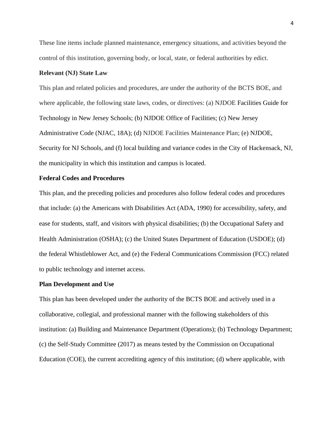These line items include planned maintenance, emergency situations, and activities beyond the control of this institution, governing body, or local, state, or federal authorities by edict.

### **Relevant (NJ) State Law**

This plan and related policies and procedures, are under the authority of the BCTS BOE, and where applicable, the following state laws, codes, or directives: (a) NJDOE Facilities Guide for Technology in New Jersey Schools; (b) NJDOE Office of Facilities; (c) New Jersey Administrative Code (NJAC, 18A); (d) NJDOE Facilities Maintenance Plan; (e) NJDOE, Security for NJ Schools, and (f) local building and variance codes in the City of Hackensack, NJ, the municipality in which this institution and campus is located.

### **Federal Codes and Procedures**

This plan, and the preceding policies and procedures also follow federal codes and procedures that include: (a) the Americans with Disabilities Act (ADA, 1990) for accessibility, safety, and ease for students, staff, and visitors with physical disabilities; (b) the Occupational Safety and Health Administration (OSHA); (c) the United States Department of Education (USDOE); (d) the federal Whistleblower Act, and (e) the Federal Communications Commission (FCC) related to public technology and internet access.

### **Plan Development and Use**

This plan has been developed under the authority of the BCTS BOE and actively used in a collaborative, collegial, and professional manner with the following stakeholders of this institution: (a) Building and Maintenance Department (Operations); (b) Technology Department; (c) the Self-Study Committee (2017) as means tested by the Commission on Occupational Education (COE), the current accrediting agency of this institution; (d) where applicable, with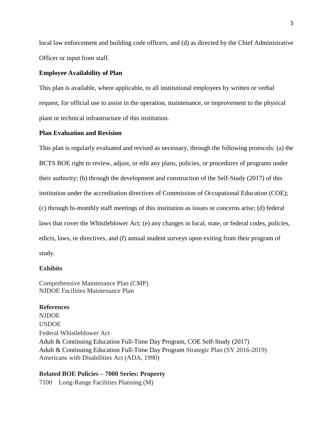local law enforcement and building code officers, and (d) as directed by the Chief Administrative Officer or input from staff.

### **Employee Availability of Plan**

This plan is available, where applicable, to all institutional employees by written or verbal request, for official use to assist in the operation, maintenance, or improvement to the physical plant or technical infrastructure of this institution.

## **Plan Evaluation and Revision**

This plan is regularly evaluated and revised as necessary, through the following protocols: (a) the BCTS BOE right to review, adjust, or edit any plans, policies, or procedures of programs under their authority; (b) through the development and construction of the Self-Study (2017) of this institution under the accreditation directives of Commission of Occupational Education (COE); (c) through bi-monthly staff meetings of this institution as issues or concerns arise; (d) federal laws that cover the Whistleblower Act; (e) any changes in local, state, or federal codes, policies, edicts, laws, or directives, and (f) annual student surveys upon exiting from their program of study.

#### **Exhibits**

Comprehensive Maintenance Plan (CMP) NJDOE Facilities Maintenance Plan

#### **References**

NJDOE USDOE Federal Whistleblower Act Adult & Continuing Education Full-Time Day Program, COE Self-Study (2017) Adult & Continuing Education Full-Time Day Program Strategic Plan (SY 2016-2019) Americans with Disabilities Act (ADA, 1990)

### **Related BOE Policies – 7000 Series: Property**

7100 Long-Range Facilities Planning (M)